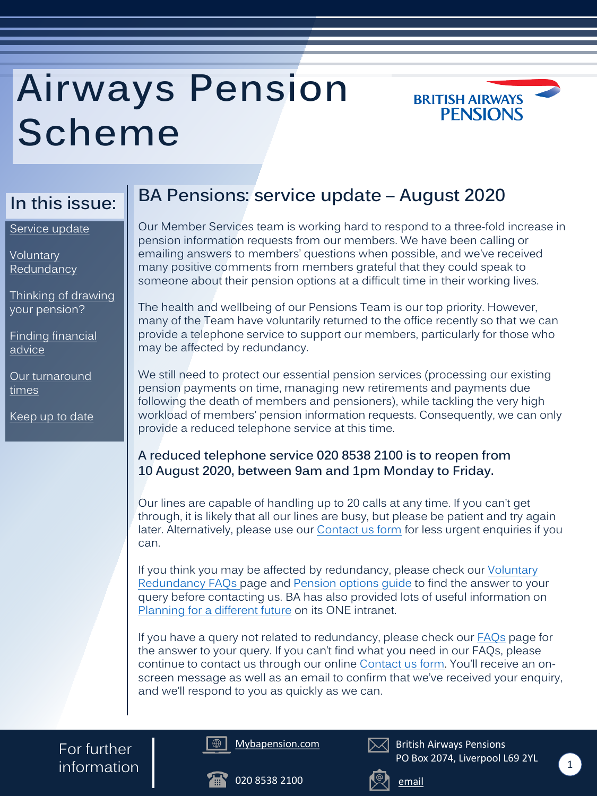## **BA Pensions: service update – August 2020**

Our Member Services team is working hard to respond to a three-fold increase in pension information requests from our members. We have been calling or emailing answers to members' questions when possible, and we've received many positive comments from members grateful that they could speak to someone about their pension options at a difficult time in their working lives.

The health and wellbeing of our Pensions Team is our top priority. However, many of the Team have voluntarily returned to the office recently so that we can provide a telephone service to support our members, particularly for those who may be affected by redundancy.

If you think you may be affected by redundancy, please check our *Voluntary* Redundancy FAQs page and [Pension options guide](https://www.mybapension.com/assets/scheme_documents/aps_pension_opts_infographic-e90bbc51b138fa099b4e251575800b15af78e3f234f8f31d06dc8a69be48efa1.pdf) to find the answer to your query before contacting us. BA has also provided lots of useful information on [Planning for a different future](https://oneba.unily.com/sites/a-different-future) on its ONE intranet.

We still need to protect our essential pension services (processing our existing pension payments on time, managing new retirements and payments due following the death of members and pensioners), while tackling the very high workload of members' pension information requests. Consequently, we can only provide a reduced telephone service at this time.

If you have a query not related to redundancy, please check our **FAQs** page for the answer to your query. If you can't find what you need in our FAQs, please continue to contact us through our online [Contact us form.](https://www.mybapension.com/aps/contact-us) You'll receive an onscreen message as well as an email to confirm that we've received your enquiry, and we'll respond to you as quickly as we can.

#### **A reduced telephone service 020 8538 2100 is to reopen from 10 August 2020, between 9am and 1pm Monday to Friday.**

**Voluntary** [Redundancy](#page-1-0)

> Our lines are capable of handling up to 20 calls at any time. If you can't get through, it is likely that all our lines are busy, but please be patient and try again later. Alternatively, please use our [Contact us form](https://www.mybapension.com/aps/contact-us) for less urgent enquiries if you can.

# **Airways Pension Scheme**



## **In this issue:**







British Airways Pensions PO Box 2074, Liverpool L69 2YL



For further information

Service update

[Thinking of drawing](#page-1-0)  your pension?

[Finding financial](#page-1-0)  advice

[Our turnaround](#page-2-0) times

[Keep up to date](#page-2-0)

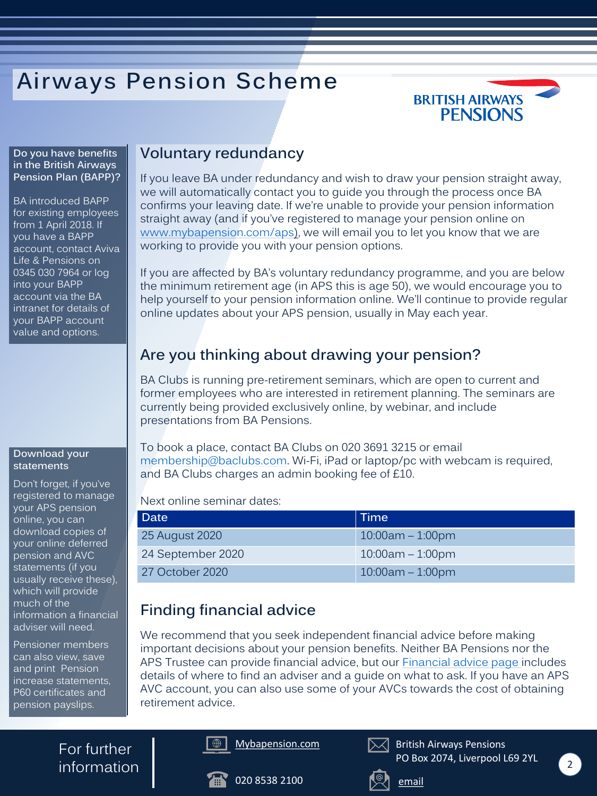#### **Voluntary redundancy**

If you leave BA under redundancy and wish to draw your pension straight away, we will automatically contact you to guide you through the process once BA confirms your leaving date. If we're unable to provide your pension information straight away (and if you've registered to manage your pension online on [www.mybapension.com/aps\)](https://www.mybapension.com/aps/home/index), we will email you to let you know that we are working to provide you with your pension options.

If you are affected by BA's voluntary redundancy programme, and you are below the minimum retirement age (in APS this is age 50), we would encourage you to help yourself to your pension information online. We'll continue to provide regular online updates about your APS pension, usually in May each year.

## **Are you thinking about drawing your pension?**

For further  $information \f{2}$ 

BA Clubs is running pre-retirement seminars, which are open to current and former employees who are interested in retirement planning. The seminars are currently being provided exclusively online, by webinar, and include presentations from BA Pensions.

To book a place, contact BA Clubs on 020 3691 3215 or email [membership@baclubs.com.](mailto:membership@baclubs.com) Wi-Fi, iPad or laptop/pc with webcam is required, and BA Clubs charges an admin booking fee of £10.

Next online seminar dates:

### **Finding financial advice**

We recommend that you seek independent financial advice before making important decisions about your pension benefits. Neither BA Pensions nor the APS Trustee can provide financial advice, but our [Financial advice page i](https://www.mybapension.com/aps/scheme/financial-advice)ncludes details of where to find an adviser and a guide on what to ask. If you have an APS AVC account, you can also use some of your AVCs towards the cost of obtaining retirement advice.

# <span id="page-1-0"></span>**Airways Pension Scheme**









British Airways Pensions PO Box 2074, Liverpool L69 2YL





#### **Download your statements**

Don't forget, if you've registered to manage your APS pension online, you can download copies of your online deferred pension and AVC statements (if you usually receive these), which will provide much of the information a financial adviser will need.

Pensioner members can also view, save and print Pension increase statements, P60 certificates and pension payslips.

| <b>Date</b>       | Time                |
|-------------------|---------------------|
| 25 August 2020    | $10:00$ am – 1:00pm |
| 24 September 2020 | $10:00$ am – 1:00pm |

27 October 2020 10:00am – 1:00pm

**Do you have benefits in the British Airways Pension Plan (BAPP)?**

BA introduced BAPP for existing employees from 1 April 2018. If you have a BAPP account, contact Aviva Life & Pensions on 0345 030 7964 or log into your BAPP account via the BA intranet for details of your BAPP account value and options.